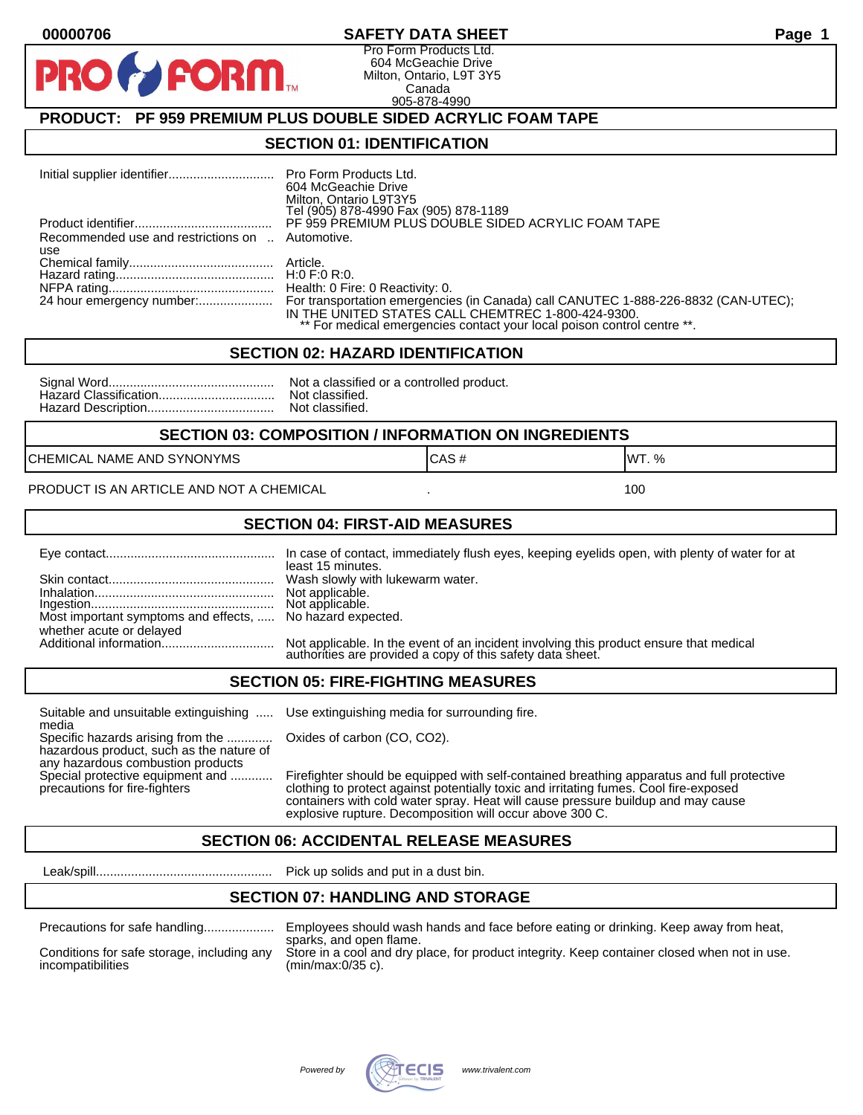### **00000706 SAFETY DATA SHEET Page 1**

Pro Form Products Ltd. 604 McGeachie Drive Milton, Ontario, L9T 3Y5 Canada 905-878-4990

## **PRODUCT: PF 959 PREMIUM PLUS DOUBLE SIDED ACRYLIC FOAM TAPE**

**FORM** 

#### **SECTION 01: IDENTIFICATION**

|                                                         | <b>Pro Form Products Ltd.</b><br>604 McGeachie Drive<br>Milton, Ontario L9T3Y5<br>Tel (905) 878-4990 Fax (905) 878-1189                                                                                             |
|---------------------------------------------------------|---------------------------------------------------------------------------------------------------------------------------------------------------------------------------------------------------------------------|
|                                                         | PF 959 PREMIUM PLUS DOUBLE SIDED ACRYLIC FOAM TAPE                                                                                                                                                                  |
| Recommended use and restrictions on  Automotive.<br>use |                                                                                                                                                                                                                     |
|                                                         |                                                                                                                                                                                                                     |
|                                                         |                                                                                                                                                                                                                     |
|                                                         | Health: 0 Fire: 0 Reactivity: 0.                                                                                                                                                                                    |
|                                                         | For transportation emergencies (in Canada) call CANUTEC 1-888-226-8832 (CAN-UTEC);<br>IN THE UNITED STATES CALL CHEMTREC 1-800-424-9300.<br>** For medical emergencies contact your local poison control centre **. |

#### **SECTION 02: HAZARD IDENTIFICATION**

| No |
|----|
| No |
| No |

ot a classified or a controlled product. ot classified. ot classified.

#### **SECTION 03: COMPOSITION / INFORMATION ON INGREDIENTS**

CHEMICAL NAME AND SYNONYMS GAS AND CAS # CAS # WT. %

#### PRODUCT IS AN ARTICLE AND NOT A CHEMICAL **AND THE SET AND A SET ALL ASSAULT** 100

#### **SECTION 04: FIRST-AID MEASURES**

|                                                                                       | least 15 minutes.                                                                                                                                 |
|---------------------------------------------------------------------------------------|---------------------------------------------------------------------------------------------------------------------------------------------------|
|                                                                                       | Not applicable.                                                                                                                                   |
| Most important symptoms and effects,  No hazard expected.<br>whether acute or delayed |                                                                                                                                                   |
|                                                                                       | Not applicable. In the event of an incident involving this product ensure that medical authorities are provided a copy of this safety data sheet. |

#### **SECTION 05: FIRE-FIGHTING MEASURES**

Suitable and unsuitable extinguishing ..... Use extinguishing media for surrounding fire. media

Specific hazards arising from the ............. Oxides of carbon (CO, CO2). hazardous product, such as the nature of any hazardous combustion products

Special protective equipment and ............ Firefighter should be equipped with self-contained breathing apparatus and full protective<br>precautions for fire-fighters continent clothing to protect against potentially toxic clothing to protect against potentially toxic and irritating fumes. Cool fire-exposed containers with cold water spray. Heat will cause pressure buildup and may cause explosive rupture. Decomposition will occur above 300 C.

## **SECTION 06: ACCIDENTAL RELEASE MEASURES**

Leak/spill.................................................. Pick up solids and put in a dust bin.

## **SECTION 07: HANDLING AND STORAGE**

| Precautions for safe handling |  |  |
|-------------------------------|--|--|
|                               |  |  |

incompatibilities (min/max:0/35 c).

Precautions for safe handling.................... Employees should wash hands and face before eating or drinking. Keep away from heat, sparks, and open flame. Conditions for safe storage, including any Store in a cool and dry place, for product integrity. Keep container closed when not in use.

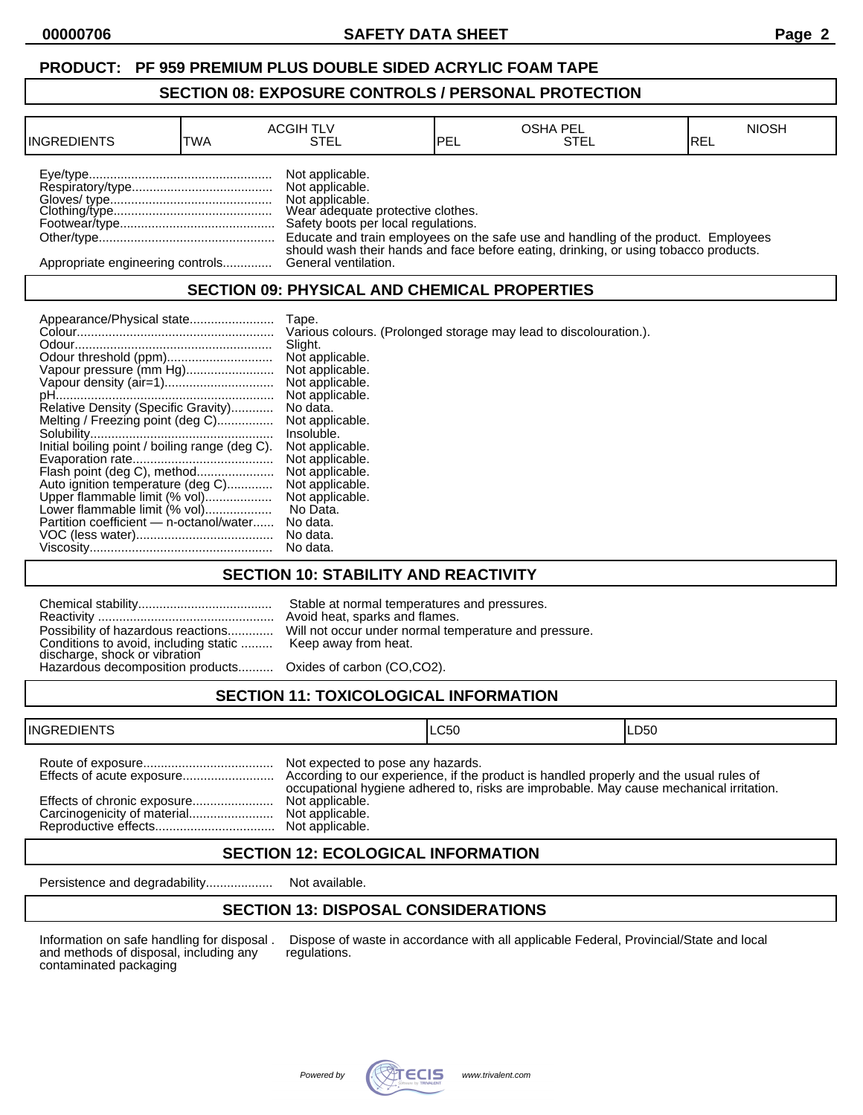# **PRODUCT: PF 959 PREMIUM PLUS DOUBLE SIDED ACRYLIC FOAM TAPE**

## **SECTION 08: EXPOSURE CONTROLS / PERSONAL PROTECTION**

| <b>INGREDIENTS</b>               | TWA | <b>ACGIH TLV</b><br>STEL                                                                                                          | IPEL | <b>OSHA PEL</b><br>STEL                                                                                                                                                    | <b>NIOSH</b><br>IREL |
|----------------------------------|-----|-----------------------------------------------------------------------------------------------------------------------------------|------|----------------------------------------------------------------------------------------------------------------------------------------------------------------------------|----------------------|
|                                  |     | Not applicable.<br>Not applicable.<br>Not applicable.<br>Wear adequate protective clothes.<br>Safety boots per local regulations. |      | Educate and train employees on the safe use and handling of the product. Employees<br>should wash their hands and face before eating, drinking, or using tobacco products. |                      |
| Appropriate engineering controls |     | General ventilation.                                                                                                              |      |                                                                                                                                                                            |                      |

# **SECTION 09: PHYSICAL AND CHEMICAL PROPERTIES**

| Various colours. (Prolonged storage may lead to discolouration.).<br>Slight.<br>Not applicable.<br>Vapour pressure (mm Hg)<br>Not applicable.<br>Not applicable.<br>Not applicable. |
|-------------------------------------------------------------------------------------------------------------------------------------------------------------------------------------|
| No data.<br>Not applicable.<br>Insoluble.<br>Not applicable.<br>Not applicable.                                                                                                     |
| Not applicable.<br>Not applicable.<br>Not applicable.<br>No Data.<br>No data.<br>No data.                                                                                           |
|                                                                                                                                                                                     |

# **SECTION 10: STABILITY AND REACTIVITY**

| Conditions to avoid, including static  Keep away from heat.<br>discharge, shock or vibration<br>Hazardous decomposition products Oxides of carbon (CO,CO2). | Stable at normal temperatures and pressures.<br>Avoid heat, sparks and flames.<br>Possibility of hazardous reactions Will not occur under normal temperature and pressure. |
|-------------------------------------------------------------------------------------------------------------------------------------------------------------|----------------------------------------------------------------------------------------------------------------------------------------------------------------------------|
|                                                                                                                                                             |                                                                                                                                                                            |

# **SECTION 11: TOXICOLOGICAL INFORMATION**

| <b>INGREDIENTS</b> |                                                                                            | ILC50                                                                                   | ILD50 |
|--------------------|--------------------------------------------------------------------------------------------|-----------------------------------------------------------------------------------------|-------|
|                    | Not expected to pose any hazards.<br>Not applicable.<br>Not applicable.<br>Not applicable. | occupational hygiene adhered to, risks are improbable. May cause mechanical irritation. |       |

## **SECTION 12: ECOLOGICAL INFORMATION**

Persistence and degradability................... Not available.

# **SECTION 13: DISPOSAL CONSIDERATIONS**

and methods of disposal, including any contaminated packaging

Information on safe handling for disposal . Dispose of waste in accordance with all applicable Federal, Provincial/State and local and methods of disposal, including any regulations.